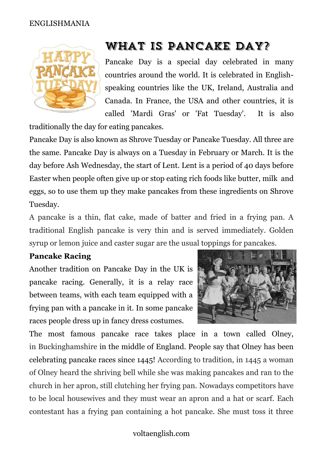#### ENGLISHMANIA



# What is Pancake Day?

Pancake Day is a special day celebrated in many countries around the world. It is celebrated in Englishspeaking countries like the UK, Ireland, Australia and Canada. In France, the USA and other countries, it is called 'Mardi Gras' or 'Fat Tuesday'. It is also

traditionally the day for eating [pancakes.](https://www.thespruceeats.com/foolproof-traditional-pancake-recipe-435607)

Pancake Day is also known as Shrove Tuesday or Pancake Tuesday. All three are the same. Pancake Day is always on a Tuesday in February or March. It is the day before Ash Wednesday, the start of Lent. Lent is a period of 40 days before Easter when people often give up or stop eating rich foods like butter, milk and eggs, so to use them up they make pancakes from these ingredients on Shrove Tuesday.

A pancake is a thin, flat cake, made of batter and fried in a frying pan. A traditional English pancake is very thin and is served immediately. Golden syrup or lemon juice and caster sugar are the usual toppings for pancakes.

#### **Pancake Racing**

Another tradition on Pancake Day in the UK is pancake racing. Generally, it is a relay race between teams, with each team equipped with a frying pan with a pancake in it. In some pancake races people dress up in fancy dress costumes.



The most famous pancake race takes place in a town called Olney, in [Buckinghamshire](https://www.historic-uk.com/HistoryMagazine/DestinationsUK/HistoricSitesinBuckinghamshire/) in the middle of England. People say that Olney has been celebrating pancake races since 1445! According to tradition, in 1445 a woman of Olney heard the shriving bell while she was making pancakes and ran to the church in her apron, still clutching her frying pan. Nowadays competitors have to be local housewives and they must wear an apron and a hat or scarf. Each contestant has a frying pan containing a hot pancake. She must toss it three

#### voltaenglish.com